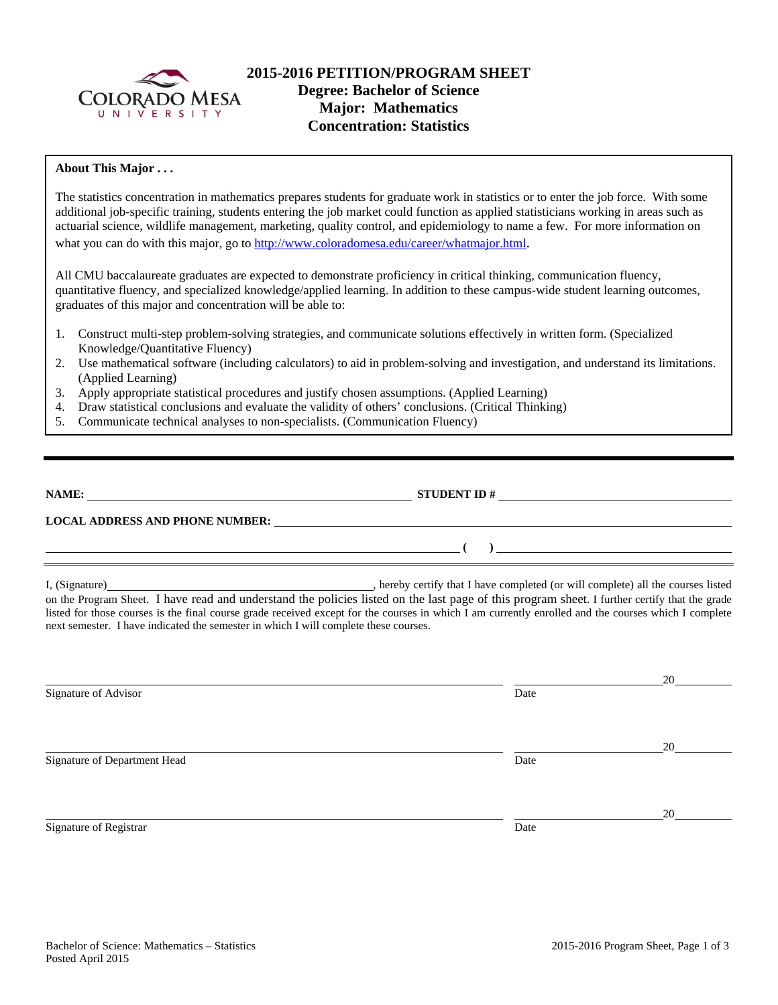

# **2015-2016 PETITION/PROGRAM SHEET Degree: Bachelor of Science Major: Mathematics Concentration: Statistics**

## **About This Major . . .**

The statistics concentration in mathematics prepares students for graduate work in statistics or to enter the job force. With some additional job-specific training, students entering the job market could function as applied statisticians working in areas such as actuarial science, wildlife management, marketing, quality control, and epidemiology to name a few. For more information on what you can do with this major, go to http://www.coloradomesa.edu/career/whatmajor.html.

All CMU baccalaureate graduates are expected to demonstrate proficiency in critical thinking, communication fluency, quantitative fluency, and specialized knowledge/applied learning. In addition to these campus-wide student learning outcomes, graduates of this major and concentration will be able to:

- 1. Construct multi-step problem-solving strategies, and communicate solutions effectively in written form. (Specialized Knowledge/Quantitative Fluency)
- 2. Use mathematical software (including calculators) to aid in problem-solving and investigation, and understand its limitations. (Applied Learning)
- 3. Apply appropriate statistical procedures and justify chosen assumptions. (Applied Learning)
- 4. Draw statistical conclusions and evaluate the validity of others' conclusions. (Critical Thinking)
- 5. Communicate technical analyses to non-specialists. (Communication Fluency)

| NAME:                                  | <b>STUDENT ID#</b> |  |
|----------------------------------------|--------------------|--|
| <b>LOCAL ADDRESS AND PHONE NUMBER:</b> |                    |  |
|                                        |                    |  |

I, (Signature) , hereby certify that I have completed (or will complete) all the courses listed on the Program Sheet. I have read and understand the policies listed on the last page of this program sheet. I further certify that the grade listed for those courses is the final course grade received except for the courses in which I am currently enrolled and the courses which I complete next semester. I have indicated the semester in which I will complete these courses.

|                              |      | 20 |
|------------------------------|------|----|
| Signature of Advisor         | Date |    |
|                              |      |    |
|                              |      |    |
|                              |      | 20 |
| Signature of Department Head | Date |    |
|                              |      |    |
|                              |      |    |
|                              |      | 20 |
| Signature of Registrar       | Date |    |
|                              |      |    |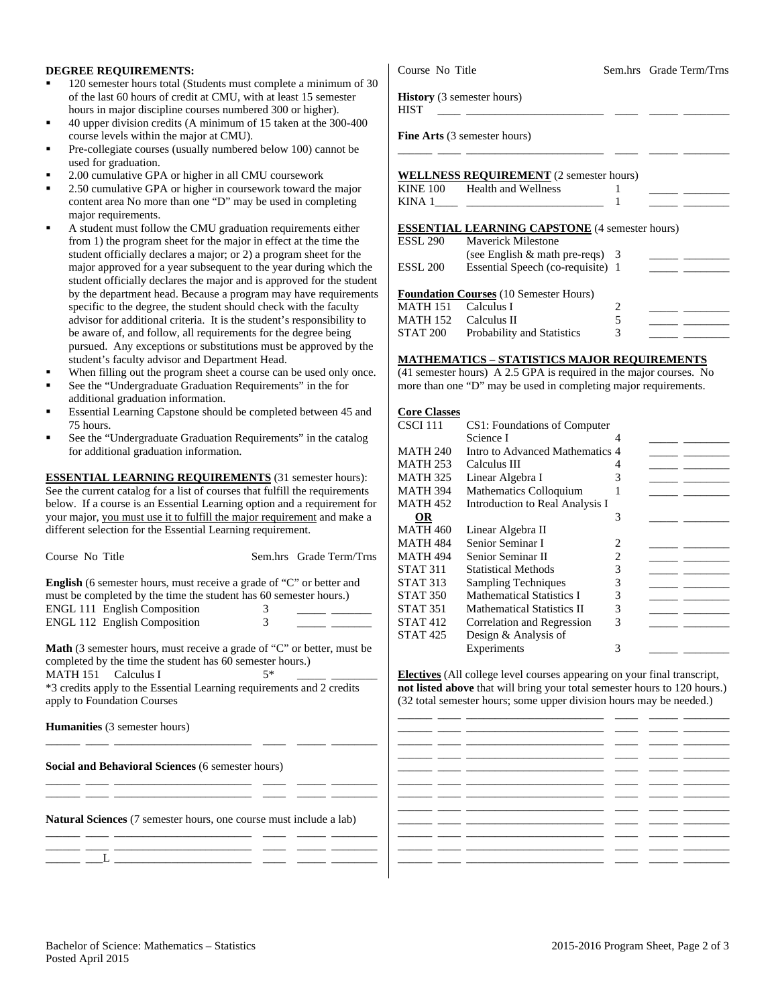#### **DEGREE REQUIREMENTS:**

- 120 semester hours total (Students must complete a minimum of 30 of the last 60 hours of credit at CMU, with at least 15 semester hours in major discipline courses numbered 300 or higher).
- 40 upper division credits (A minimum of 15 taken at the 300-400 course levels within the major at CMU).
- Pre-collegiate courses (usually numbered below 100) cannot be used for graduation.
- 2.00 cumulative GPA or higher in all CMU coursework
- 2.50 cumulative GPA or higher in coursework toward the major content area No more than one "D" may be used in completing major requirements.
- A student must follow the CMU graduation requirements either from 1) the program sheet for the major in effect at the time the student officially declares a major; or 2) a program sheet for the major approved for a year subsequent to the year during which the student officially declares the major and is approved for the student by the department head. Because a program may have requirements specific to the degree, the student should check with the faculty advisor for additional criteria. It is the student's responsibility to be aware of, and follow, all requirements for the degree being pursued. Any exceptions or substitutions must be approved by the student's faculty advisor and Department Head.
- When filling out the program sheet a course can be used only once.
- See the "Undergraduate Graduation Requirements" in the for additional graduation information.
- Essential Learning Capstone should be completed between 45 and 75 hours.
- See the "Undergraduate Graduation Requirements" in the catalog for additional graduation information.

**ESSENTIAL LEARNING REQUIREMENTS** (31 semester hours): See the current catalog for a list of courses that fulfill the requirements below. If a course is an Essential Learning option and a requirement for your major, you must use it to fulfill the major requirement and make a different selection for the Essential Learning requirement.

| Course No Title                                                                                                                                                                                                                                                                                                |   | Sem.hrs Grade Term/Trns | M۵                   |  |  |  |
|----------------------------------------------------------------------------------------------------------------------------------------------------------------------------------------------------------------------------------------------------------------------------------------------------------------|---|-------------------------|----------------------|--|--|--|
| <b>English</b> (6 semester hours, must receive a grade of "C" or better and<br>must be completed by the time the student has 60 semester hours.)                                                                                                                                                               |   |                         | ST.<br>$ST_4$<br>ST. |  |  |  |
| <b>ENGL 111 English Composition</b>                                                                                                                                                                                                                                                                            | 3 |                         | ST.                  |  |  |  |
| <b>ENGL 112 English Composition</b>                                                                                                                                                                                                                                                                            | 3 |                         | ST.                  |  |  |  |
| <b>Math</b> (3 semester hours, must receive a grade of "C" or better, must be<br>completed by the time the student has 60 semester hours.)<br><b>MATH 151</b><br>Calculus I<br>5*<br>Ele<br>*3 credits apply to the Essential Learning requirements and 2 credits<br>not<br>apply to Foundation Courses<br>(32 |   |                         |                      |  |  |  |
| <b>Humanities</b> (3 semester hours)                                                                                                                                                                                                                                                                           |   |                         |                      |  |  |  |
| Social and Behavioral Sciences (6 semester hours)                                                                                                                                                                                                                                                              |   |                         |                      |  |  |  |
| Natural Sciences (7 semester hours, one course must include a lab)                                                                                                                                                                                                                                             |   |                         |                      |  |  |  |

\_\_\_\_\_\_ \_\_\_\_ \_\_\_\_\_\_\_\_\_\_\_\_\_\_\_\_\_\_\_\_\_\_\_\_ \_\_\_\_ \_\_\_\_\_ \_\_\_\_\_\_\_\_ \_\_\_\_\_\_ \_\_\_L \_\_\_\_\_\_\_\_\_\_\_\_\_\_\_\_\_\_\_\_\_\_\_\_ \_\_\_\_ \_\_\_\_\_ \_\_\_\_\_\_\_\_

Course No Title Sem.hrs Grade Term/Trns

**History** (3 semester hours)

**Fine Arts** (3 semester hours)

### **WELLNESS REQUIREMENT** (2 semester hours)

| <b>KINE 100</b> | <b>Health and Wellness</b> |  |  |
|-----------------|----------------------------|--|--|
| KINA 1          |                            |  |  |

HIST \_\_\_\_ \_\_\_\_\_\_\_\_\_\_\_\_\_\_\_\_\_\_\_\_\_\_\_\_ \_\_\_\_ \_\_\_\_\_ \_\_\_\_\_\_\_\_

\_\_\_\_\_\_ \_\_\_\_ \_\_\_\_\_\_\_\_\_\_\_\_\_\_\_\_\_\_\_\_\_\_\_\_ \_\_\_\_ \_\_\_\_\_ \_\_\_\_\_\_\_\_

#### **ESSENTIAL LEARNING CAPSTONE** (4 semester hours)

| <b>ESSL 290</b>     | <b>Maverick Milestone</b>                                   |   |  |
|---------------------|-------------------------------------------------------------|---|--|
|                     | (see English $\&$ math pre-reqs) 3                          |   |  |
| ESSL <sub>200</sub> | Essential Speech (co-requisite) 1                           |   |  |
| <b>MATH 151</b>     | <b>Foundation Courses</b> (10 Semester Hours)<br>Calculus I |   |  |
| <b>MATH 152</b>     | Calculus II                                                 | 5 |  |
|                     |                                                             |   |  |

#### **MATHEMATICS – STATISTICS MAJOR REQUIREMENTS**

(41 semester hours) A 2.5 GPA is required in the major courses. No more than one "D" may be used in completing major requirements.

| <b>Core Classes</b> |                                   |   |  |
|---------------------|-----------------------------------|---|--|
| CSCI 111            | CS1: Foundations of Computer      |   |  |
|                     | Science I                         |   |  |
| MATH 240            | Intro to Advanced Mathematics 4   |   |  |
| <b>MATH 253</b>     | Calculus III                      |   |  |
| <b>MATH 325</b>     | Linear Algebra I                  | 3 |  |
| MATH 394            | Mathematics Colloquium            |   |  |
| <b>MATH 452</b>     | Introduction to Real Analysis I   |   |  |
| OR                  |                                   | 3 |  |
| MATH 460            | Linear Algebra II                 |   |  |
| MATH 484            | Senior Seminar I                  | 2 |  |
| <b>MATH 494</b>     | Senior Seminar II                 | 2 |  |
| STAT 311            | <b>Statistical Methods</b>        | 3 |  |
| STAT 313            | <b>Sampling Techniques</b>        | 3 |  |
| <b>STAT 350</b>     | <b>Mathematical Statistics I</b>  | 3 |  |
| <b>STAT 351</b>     | <b>Mathematical Statistics II</b> | 3 |  |
| STAT 412            | Correlation and Regression        | 3 |  |
| STAT 425            | Design & Analysis of              |   |  |
|                     | Experiments                       | 3 |  |

ctives (All college level courses appearing on your final transcript, **listed above** that will bring your total semester hours to 120 hours.) total semester hours; some upper division hours may be needed.)

| .  —  | and the contract of the contract of |    |  |
|-------|-------------------------------------|----|--|
| _   _ |                                     |    |  |
|       | _____                               |    |  |
| _ _   | ______                              |    |  |
|       | $\sim$                              |    |  |
|       | $\sim$                              |    |  |
|       |                                     | __ |  |
|       | $\overline{\phantom{a}}$            |    |  |
|       | $\overline{\phantom{a}}$            |    |  |
|       |                                     |    |  |
|       |                                     |    |  |